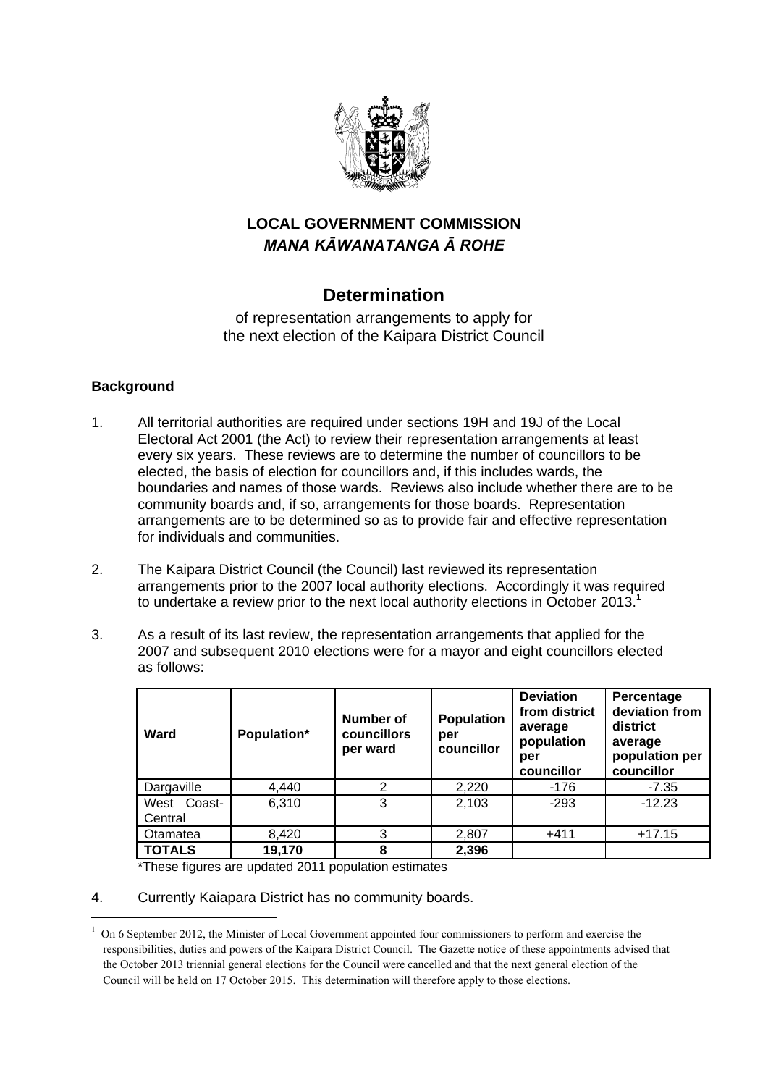

## **LOCAL GOVERNMENT COMMISSION**  *MANA KĀWANATANGA Ā ROHE*

# **Determination**

of representation arrangements to apply for the next election of the Kaipara District Council

### **Background**

1

- 1. All territorial authorities are required under sections 19H and 19J of the Local Electoral Act 2001 (the Act) to review their representation arrangements at least every six years. These reviews are to determine the number of councillors to be elected, the basis of election for councillors and, if this includes wards, the boundaries and names of those wards. Reviews also include whether there are to be community boards and, if so, arrangements for those boards. Representation arrangements are to be determined so as to provide fair and effective representation for individuals and communities.
- 2. The Kaipara District Council (the Council) last reviewed its representation arrangements prior to the 2007 local authority elections. Accordingly it was required to undertake a review prior to the next local authority elections in October 2013.<sup>1</sup>
- 3. As a result of its last review, the representation arrangements that applied for the 2007 and subsequent 2010 elections were for a mayor and eight councillors elected as follows:

| Ward                   | Population* | Number of<br>councillors<br>per ward | <b>Population</b><br>per<br>councillor | <b>Deviation</b><br>from district<br>average<br>population<br>per<br>councillor | Percentage<br>deviation from<br>district<br>average<br>population per<br>councillor |
|------------------------|-------------|--------------------------------------|----------------------------------------|---------------------------------------------------------------------------------|-------------------------------------------------------------------------------------|
| Dargaville             | 4,440       | 2                                    | 2,220                                  | -176                                                                            | $-7.35$                                                                             |
| West Coast-<br>Central | 6,310       | 3                                    | 2,103                                  | $-293$                                                                          | $-12.23$                                                                            |
| Otamatea               | 8,420       | 3                                    | 2,807                                  | $+411$                                                                          | $+17.15$                                                                            |
| <b>TOTALS</b>          | 19,170      | 8                                    | 2,396                                  |                                                                                 |                                                                                     |

\*These figures are updated 2011 population estimates

4. Currently Kaiapara District has no community boards.

 $1$  On 6 September 2012, the Minister of Local Government appointed four commissioners to perform and exercise the responsibilities, duties and powers of the Kaipara District Council. The Gazette notice of these appointments advised that the October 2013 triennial general elections for the Council were cancelled and that the next general election of the Council will be held on 17 October 2015. This determination will therefore apply to those elections.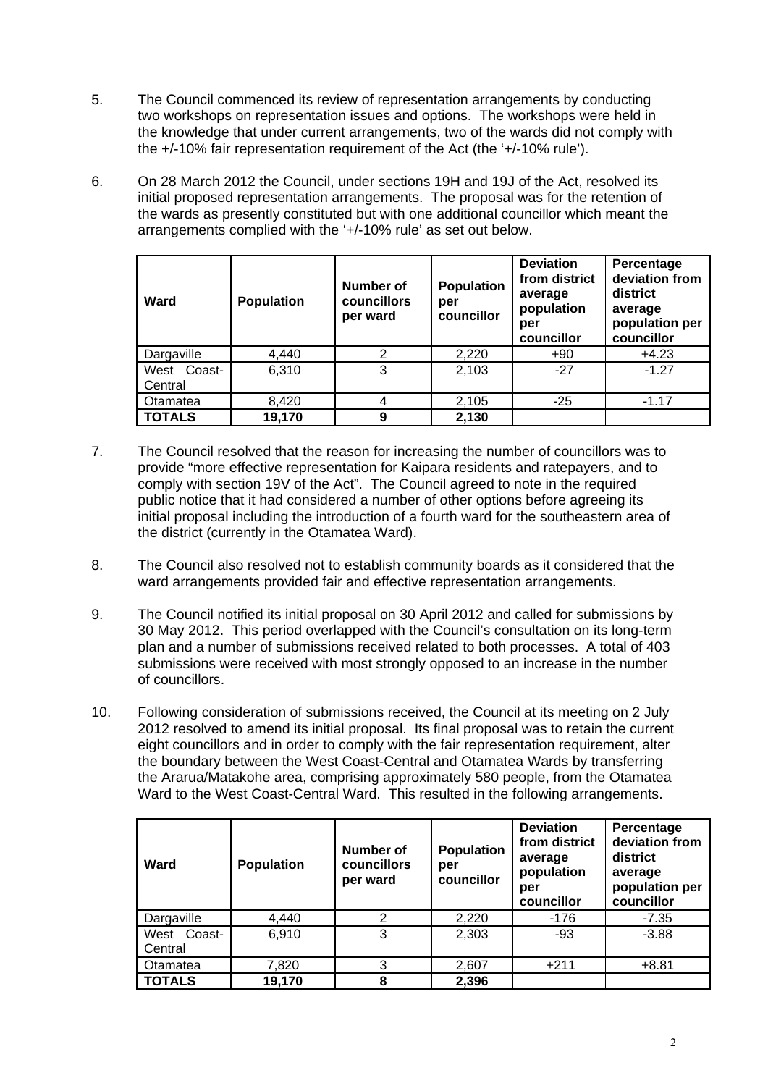- 5. The Council commenced its review of representation arrangements by conducting two workshops on representation issues and options. The workshops were held in the knowledge that under current arrangements, two of the wards did not comply with the +/-10% fair representation requirement of the Act (the '+/-10% rule').
- 6. On 28 March 2012 the Council, under sections 19H and 19J of the Act, resolved its initial proposed representation arrangements. The proposal was for the retention of the wards as presently constituted but with one additional councillor which meant the arrangements complied with the '+/-10% rule' as set out below.

| Ward                   | <b>Population</b> | Number of<br>councillors<br>per ward | <b>Population</b><br>per<br>councillor | <b>Deviation</b><br>from district<br>average<br>population<br>per<br>councillor | Percentage<br>deviation from<br>district<br>average<br>population per<br>councillor |
|------------------------|-------------------|--------------------------------------|----------------------------------------|---------------------------------------------------------------------------------|-------------------------------------------------------------------------------------|
| Dargaville             | 4.440             | 2                                    | 2,220                                  | $+90$                                                                           | $+4.23$                                                                             |
| West Coast-<br>Central | 6,310             | 3                                    | 2,103                                  | $-27$                                                                           | $-1.27$                                                                             |
| Otamatea               | 8,420             | 4                                    | 2,105                                  | $-25$                                                                           | $-1.17$                                                                             |
| <b>TOTALS</b>          | 19,170            | 9                                    | 2,130                                  |                                                                                 |                                                                                     |

- 7. The Council resolved that the reason for increasing the number of councillors was to provide "more effective representation for Kaipara residents and ratepayers, and to comply with section 19V of the Act". The Council agreed to note in the required public notice that it had considered a number of other options before agreeing its initial proposal including the introduction of a fourth ward for the southeastern area of the district (currently in the Otamatea Ward).
- 8. The Council also resolved not to establish community boards as it considered that the ward arrangements provided fair and effective representation arrangements.
- 9. The Council notified its initial proposal on 30 April 2012 and called for submissions by 30 May 2012. This period overlapped with the Council's consultation on its long-term plan and a number of submissions received related to both processes. A total of 403 submissions were received with most strongly opposed to an increase in the number of councillors.
- 10. Following consideration of submissions received, the Council at its meeting on 2 July 2012 resolved to amend its initial proposal. Its final proposal was to retain the current eight councillors and in order to comply with the fair representation requirement, alter the boundary between the West Coast-Central and Otamatea Wards by transferring the Ararua/Matakohe area, comprising approximately 580 people, from the Otamatea Ward to the West Coast-Central Ward. This resulted in the following arrangements.

| Ward                      | <b>Population</b> | Number of<br>councillors<br>per ward | <b>Population</b><br>per<br>councillor | <b>Deviation</b><br>from district<br>average<br>population<br>per<br>councillor | Percentage<br>deviation from<br>district<br>average<br>population per<br>councillor |
|---------------------------|-------------------|--------------------------------------|----------------------------------------|---------------------------------------------------------------------------------|-------------------------------------------------------------------------------------|
| Dargaville                | 4,440             | 2                                    | 2,220                                  | -176                                                                            | $-7.35$                                                                             |
| Coast-<br>West<br>Central | 6,910             | 3                                    | 2,303                                  | $-93$                                                                           | $-3.88$                                                                             |
| Otamatea                  | 7,820             | 3                                    | 2,607                                  | $+211$                                                                          | $+8.81$                                                                             |
| <b>TOTALS</b>             | 19,170            | 8                                    | 2,396                                  |                                                                                 |                                                                                     |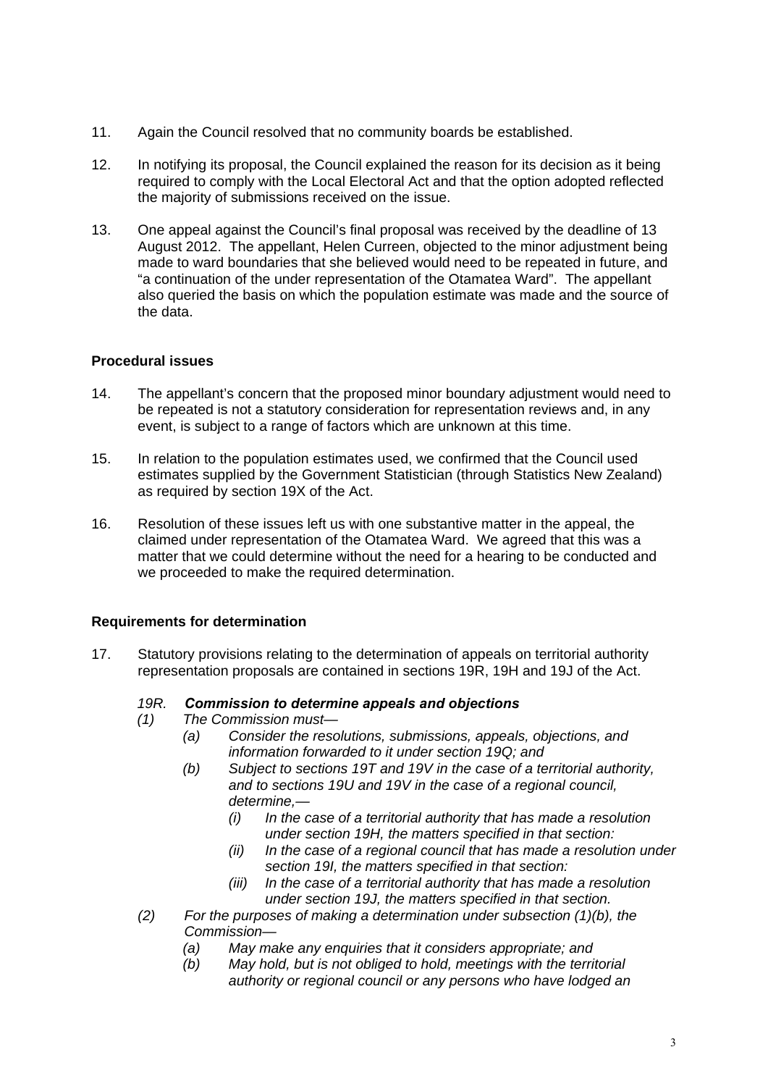- 11. Again the Council resolved that no community boards be established.
- 12. In notifying its proposal, the Council explained the reason for its decision as it being required to comply with the Local Electoral Act and that the option adopted reflected the majority of submissions received on the issue.
- 13. One appeal against the Council's final proposal was received by the deadline of 13 August 2012. The appellant, Helen Curreen, objected to the minor adjustment being made to ward boundaries that she believed would need to be repeated in future, and "a continuation of the under representation of the Otamatea Ward". The appellant also queried the basis on which the population estimate was made and the source of the data.

## **Procedural issues**

- 14. The appellant's concern that the proposed minor boundary adjustment would need to be repeated is not a statutory consideration for representation reviews and, in any event, is subject to a range of factors which are unknown at this time.
- 15. In relation to the population estimates used, we confirmed that the Council used estimates supplied by the Government Statistician (through Statistics New Zealand) as required by section 19X of the Act.
- 16. Resolution of these issues left us with one substantive matter in the appeal, the claimed under representation of the Otamatea Ward. We agreed that this was a matter that we could determine without the need for a hearing to be conducted and we proceeded to make the required determination.

## **Requirements for determination**

17. Statutory provisions relating to the determination of appeals on territorial authority representation proposals are contained in sections 19R, 19H and 19J of the Act.

## *19R. Commission to determine appeals and objections*

- *(1) The Commission must—* 
	- *(a) Consider the resolutions, submissions, appeals, objections, and information forwarded to it under section 19Q; and*
	- *(b) Subject to sections 19T and 19V in the case of a territorial authority, and to sections 19U and 19V in the case of a regional council, determine,—* 
		- *(i) In the case of a territorial authority that has made a resolution under section 19H, the matters specified in that section:*
		- *(ii) In the case of a regional council that has made a resolution under section 19I, the matters specified in that section:*
		- *(iii) In the case of a territorial authority that has made a resolution under section 19J, the matters specified in that section.*
- *(2) For the purposes of making a determination under subsection (1)(b), the Commission—* 
	- *(a) May make any enquiries that it considers appropriate; and*
	- *(b) May hold, but is not obliged to hold, meetings with the territorial authority or regional council or any persons who have lodged an*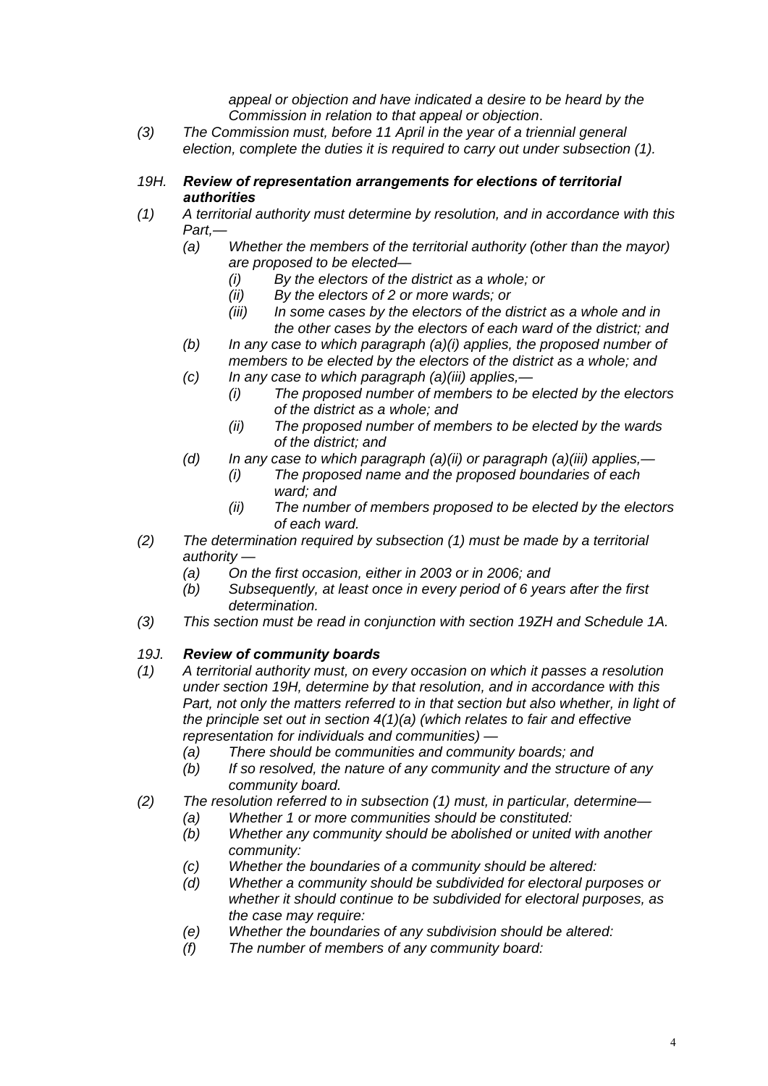*appeal or objection and have indicated a desire to be heard by the Commission in relation to that appeal or objection*.

- *(3) The Commission must, before 11 April in the year of a triennial general election, complete the duties it is required to carry out under subsection (1).*
- *19H. Review of representation arrangements for elections of territorial authorities*
- *(1) A territorial authority must determine by resolution, and in accordance with this Part,—* 
	- *(a) Whether the members of the territorial authority (other than the mayor) are proposed to be elected—* 
		- *(i) By the electors of the district as a whole; or*
		- *(ii) By the electors of 2 or more wards; or*
		- *(iii) In some cases by the electors of the district as a whole and in the other cases by the electors of each ward of the district; and*
	- *(b) In any case to which paragraph (a)(i) applies, the proposed number of members to be elected by the electors of the district as a whole; and*
	- *(c) In any case to which paragraph (a)(iii) applies,—* 
		- *(i) The proposed number of members to be elected by the electors of the district as a whole; and*
		- *(ii) The proposed number of members to be elected by the wards of the district; and*
	- *(d) In any case to which paragraph (a)(ii) or paragraph (a)(iii) applies,—* 
		- *(i) The proposed name and the proposed boundaries of each ward; and*
		- *(ii) The number of members proposed to be elected by the electors of each ward.*
- *(2) The determination required by subsection (1) must be made by a territorial authority —* 
	- *(a) On the first occasion, either in 2003 or in 2006; and*
	- *(b) Subsequently, at least once in every period of 6 years after the first determination.*
- *(3) This section must be read in conjunction with section 19ZH and Schedule 1A.*

#### *19J. Review of community boards*

- *(1) A territorial authority must, on every occasion on which it passes a resolution under section 19H, determine by that resolution, and in accordance with this*  Part, not only the matters referred to in that section but also whether, in light of *the principle set out in section 4(1)(a) (which relates to fair and effective representation for individuals and communities) —* 
	- *(a) There should be communities and community boards; and*
	- *(b) If so resolved, the nature of any community and the structure of any community board.*
- *(2) The resolution referred to in subsection (1) must, in particular, determine—* 
	- *(a) Whether 1 or more communities should be constituted:*
	- *(b) Whether any community should be abolished or united with another community:*
	- *(c) Whether the boundaries of a community should be altered:*
	- *(d) Whether a community should be subdivided for electoral purposes or whether it should continue to be subdivided for electoral purposes, as the case may require:*
	- *(e) Whether the boundaries of any subdivision should be altered:*
	- *(f) The number of members of any community board:*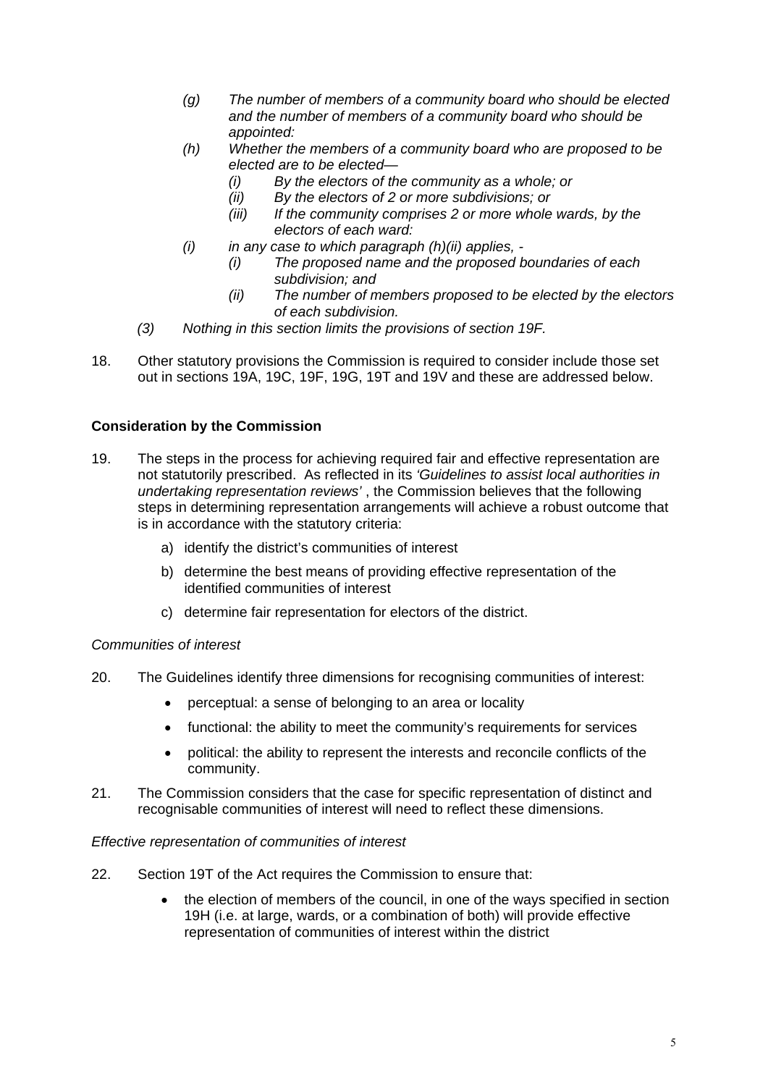- *(g) The number of members of a community board who should be elected and the number of members of a community board who should be appointed:*
- *(h) Whether the members of a community board who are proposed to be elected are to be elected—* 
	- *(i) By the electors of the community as a whole; or*
	- *(ii) By the electors of 2 or more subdivisions; or*
	- *(iii) If the community comprises 2 or more whole wards, by the electors of each ward:*
- *(i) in any case to which paragraph (h)(ii) applies,* 
	- *(i) The proposed name and the proposed boundaries of each subdivision; and*
	- *(ii) The number of members proposed to be elected by the electors of each subdivision.*
- *(3) Nothing in this section limits the provisions of section 19F.*
- 18. Other statutory provisions the Commission is required to consider include those set out in sections 19A, 19C, 19F, 19G, 19T and 19V and these are addressed below.

## **Consideration by the Commission**

- 19. The steps in the process for achieving required fair and effective representation are not statutorily prescribed. As reflected in its *'Guidelines to assist local authorities in undertaking representation reviews'* , the Commission believes that the following steps in determining representation arrangements will achieve a robust outcome that is in accordance with the statutory criteria:
	- a) identify the district's communities of interest
	- b) determine the best means of providing effective representation of the identified communities of interest
	- c) determine fair representation for electors of the district.

#### *Communities of interest*

- 20. The Guidelines identify three dimensions for recognising communities of interest:
	- perceptual: a sense of belonging to an area or locality
	- functional: the ability to meet the community's requirements for services
	- political: the ability to represent the interests and reconcile conflicts of the community.
- 21. The Commission considers that the case for specific representation of distinct and recognisable communities of interest will need to reflect these dimensions.

#### *Effective representation of communities of interest*

- 22. Section 19T of the Act requires the Commission to ensure that:
	- the election of members of the council, in one of the ways specified in section 19H (i.e. at large, wards, or a combination of both) will provide effective representation of communities of interest within the district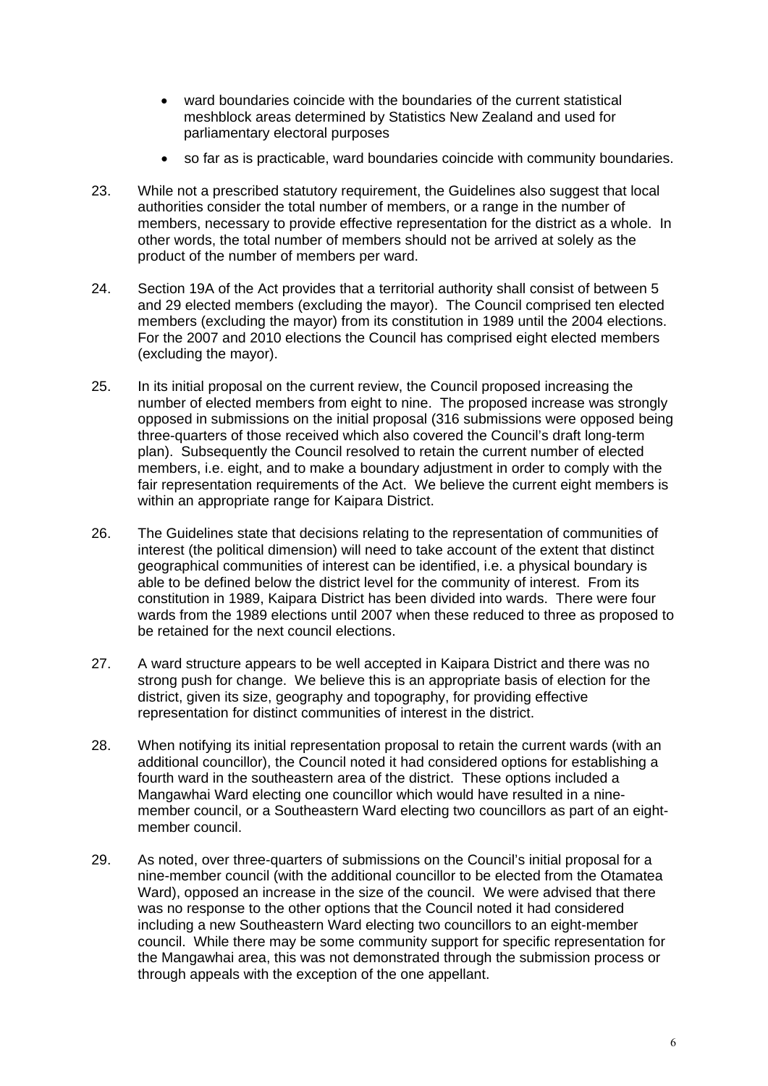- ward boundaries coincide with the boundaries of the current statistical meshblock areas determined by Statistics New Zealand and used for parliamentary electoral purposes
- so far as is practicable, ward boundaries coincide with community boundaries.
- 23. While not a prescribed statutory requirement, the Guidelines also suggest that local authorities consider the total number of members, or a range in the number of members, necessary to provide effective representation for the district as a whole. In other words, the total number of members should not be arrived at solely as the product of the number of members per ward.
- 24. Section 19A of the Act provides that a territorial authority shall consist of between 5 and 29 elected members (excluding the mayor). The Council comprised ten elected members (excluding the mayor) from its constitution in 1989 until the 2004 elections. For the 2007 and 2010 elections the Council has comprised eight elected members (excluding the mayor).
- 25. In its initial proposal on the current review, the Council proposed increasing the number of elected members from eight to nine. The proposed increase was strongly opposed in submissions on the initial proposal (316 submissions were opposed being three-quarters of those received which also covered the Council's draft long-term plan). Subsequently the Council resolved to retain the current number of elected members, i.e. eight, and to make a boundary adjustment in order to comply with the fair representation requirements of the Act. We believe the current eight members is within an appropriate range for Kaipara District.
- 26. The Guidelines state that decisions relating to the representation of communities of interest (the political dimension) will need to take account of the extent that distinct geographical communities of interest can be identified, i.e. a physical boundary is able to be defined below the district level for the community of interest. From its constitution in 1989, Kaipara District has been divided into wards. There were four wards from the 1989 elections until 2007 when these reduced to three as proposed to be retained for the next council elections.
- 27. A ward structure appears to be well accepted in Kaipara District and there was no strong push for change. We believe this is an appropriate basis of election for the district, given its size, geography and topography, for providing effective representation for distinct communities of interest in the district.
- 28. When notifying its initial representation proposal to retain the current wards (with an additional councillor), the Council noted it had considered options for establishing a fourth ward in the southeastern area of the district. These options included a Mangawhai Ward electing one councillor which would have resulted in a ninemember council, or a Southeastern Ward electing two councillors as part of an eightmember council.
- 29. As noted, over three-quarters of submissions on the Council's initial proposal for a nine-member council (with the additional councillor to be elected from the Otamatea Ward), opposed an increase in the size of the council. We were advised that there was no response to the other options that the Council noted it had considered including a new Southeastern Ward electing two councillors to an eight-member council. While there may be some community support for specific representation for the Mangawhai area, this was not demonstrated through the submission process or through appeals with the exception of the one appellant.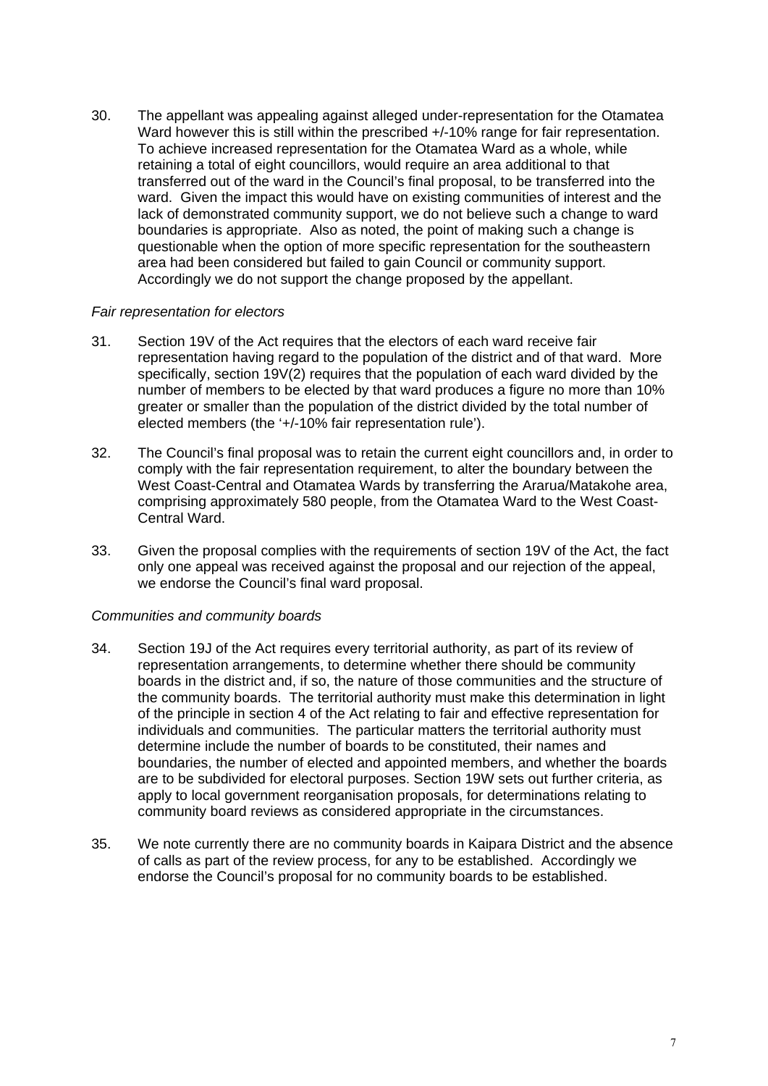30. The appellant was appealing against alleged under-representation for the Otamatea Ward however this is still within the prescribed  $+/-10\%$  range for fair representation. To achieve increased representation for the Otamatea Ward as a whole, while retaining a total of eight councillors, would require an area additional to that transferred out of the ward in the Council's final proposal, to be transferred into the ward. Given the impact this would have on existing communities of interest and the lack of demonstrated community support, we do not believe such a change to ward boundaries is appropriate. Also as noted, the point of making such a change is questionable when the option of more specific representation for the southeastern area had been considered but failed to gain Council or community support. Accordingly we do not support the change proposed by the appellant.

#### *Fair representation for electors*

- 31. Section 19V of the Act requires that the electors of each ward receive fair representation having regard to the population of the district and of that ward. More specifically, section 19V(2) requires that the population of each ward divided by the number of members to be elected by that ward produces a figure no more than 10% greater or smaller than the population of the district divided by the total number of elected members (the '+/-10% fair representation rule').
- 32. The Council's final proposal was to retain the current eight councillors and, in order to comply with the fair representation requirement, to alter the boundary between the West Coast-Central and Otamatea Wards by transferring the Ararua/Matakohe area, comprising approximately 580 people, from the Otamatea Ward to the West Coast-Central Ward.
- 33. Given the proposal complies with the requirements of section 19V of the Act, the fact only one appeal was received against the proposal and our rejection of the appeal, we endorse the Council's final ward proposal.

#### *Communities and community boards*

- 34. Section 19J of the Act requires every territorial authority, as part of its review of representation arrangements, to determine whether there should be community boards in the district and, if so, the nature of those communities and the structure of the community boards. The territorial authority must make this determination in light of the principle in section 4 of the Act relating to fair and effective representation for individuals and communities. The particular matters the territorial authority must determine include the number of boards to be constituted, their names and boundaries, the number of elected and appointed members, and whether the boards are to be subdivided for electoral purposes. Section 19W sets out further criteria, as apply to local government reorganisation proposals, for determinations relating to community board reviews as considered appropriate in the circumstances.
- 35. We note currently there are no community boards in Kaipara District and the absence of calls as part of the review process, for any to be established. Accordingly we endorse the Council's proposal for no community boards to be established.